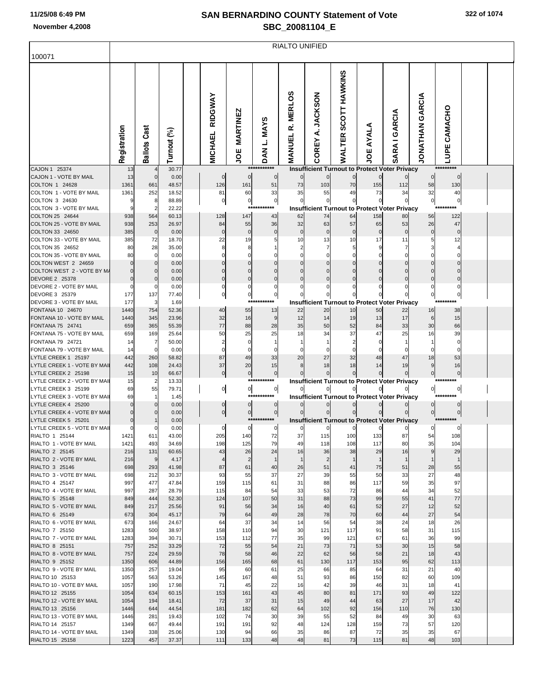## **SAN BERNARDINO COUNTY Statement of Vote November 4,2008 SBC\_20081104\_E**

| 100071                                             | <b>RIALTO UNIFIED</b> |                     |                |  |                           |                               |                                      |                                     |                              |                         |              |                                                            |                           |                              |  |  |
|----------------------------------------------------|-----------------------|---------------------|----------------|--|---------------------------|-------------------------------|--------------------------------------|-------------------------------------|------------------------------|-------------------------|--------------|------------------------------------------------------------|---------------------------|------------------------------|--|--|
|                                                    | Registration          | Ballots Cast        | Turnout (%)    |  | RIDGWAY<br><b>MICHAEL</b> | <b>MARTINEZ</b><br><b>JOE</b> | L. MAYS<br><b>NAQ</b><br>*********** | <b>MERLOS</b><br>œ<br><b>MANUEL</b> | <b>JACKSON</b><br>∢<br>COREY | SCOTT HAWKINS<br>WALTER | AYALA<br>ğ   | <b>I GARCIA</b><br>SARA                                    | GARCIA<br><b>JONATHAN</b> | CAMACHO<br>LUPE<br>********* |  |  |
| CAJON 1 25374<br>CAJON 1 - VOTE BY MAIL            | 13<br>13              | 0                   | 30.77<br>0.00  |  | $\mathbf 0$               | $\mathbf 0$                   | $\mathbf 0$                          | $\mathbf 0$                         | $\mathbf{0}$                 | $\overline{0}$          | 0            | <b>Insufficient Turnout to Protect Voter Privacy</b>       |                           | $\mathbf 0$                  |  |  |
| COLTON 1 24628                                     | 1361                  | 661                 | 48.57          |  | 126                       | 161                           | 51                                   | 73                                  | 103                          | 70                      | 155          | 112                                                        | 58                        | 130                          |  |  |
| COLTON 1 - VOTE BY MAIL                            | 1361                  | 252                 | 18.52          |  | 81                        | 60                            | 33                                   | 35                                  | 55                           | 49                      | 73           | 34                                                         | 32                        | 40                           |  |  |
| COLTON 3 24630<br>COLTON 3 - VOTE BY MAIL          |                       | 8<br>$\overline{2}$ | 88.89          |  | 0                         | $\boldsymbol{0}$              | $\pmb{0}$<br>***                     | 0                                   | $\overline{0}$               | $\overline{0}$          | 0            | 0                                                          | $\pmb{0}$                 | C                            |  |  |
| COLTON 25 24644                                    | 938                   | 564                 | 22.22<br>60.13 |  | 128                       | 147                           | 43                                   | 62                                  | 74                           | 64                      | 158          | <b>Insufficient Turnout to Protect Voter Privacy</b><br>80 | 56                        | 122                          |  |  |
| COLTON 25 - VOTE BY MAIL                           | 938                   | 253                 | 26.97          |  | 84                        | 55                            | 36                                   | 32                                  | 63                           | 57                      | 65           | 53                                                         | 26                        | 47                           |  |  |
| COLTON 33 24650                                    | 385                   | $\mathbf 0$         | 0.00           |  | $\Omega$                  | $\Omega$                      |                                      | $\mathcal{C}$                       | $\Omega$                     | $\Omega$                | $\Omega$     | 0                                                          | 0                         | C                            |  |  |
| COLTON 33 - VOTE BY MAIL                           | 385                   | 72                  | 18.70          |  | 22                        | 19                            |                                      | 10                                  | 13                           | 10                      | 17           | 11                                                         | 5                         | 12                           |  |  |
| COLTON 35 24652                                    | 80                    | 28                  | 35.00          |  | 8                         | 8                             |                                      |                                     |                              |                         | 9            |                                                            |                           |                              |  |  |
| COLTON 35 - VOTE BY MAIL<br>COLTON WEST 2 24659    | 80                    | 0<br>0              | 0.00<br>0.00   |  | O<br>0                    | $\Omega$                      |                                      |                                     | 0                            |                         | $\Omega$     | O<br>0                                                     |                           |                              |  |  |
| COLTON WEST 2 - VOTE BY M.                         |                       | 0                   | 0.00           |  | $\Omega$                  | $\Omega$                      |                                      |                                     |                              |                         | 0            | $\Omega$                                                   | $\Omega$                  |                              |  |  |
| DEVORE 2 25378                                     |                       | 0                   | 0.00           |  | 0                         | $\Omega$                      |                                      |                                     |                              |                         | 0            | 0                                                          | $\Omega$                  | C                            |  |  |
| DEVORE 2 - VOTE BY MAIL                            |                       | 0                   | 0.00           |  | 0                         | 0                             |                                      |                                     |                              |                         |              | 0                                                          | 0                         |                              |  |  |
| DEVORE 3 25379                                     | 177                   | 137                 | 77.40          |  | 0                         | 0<br>**:                      | 0                                    |                                     |                              |                         |              |                                                            | $\pmb{0}$                 | $\mathbf 0$                  |  |  |
| DEVORE 3 - VOTE BY MAIL<br>FONTANA 10 24670        | 177<br>1440           | 3<br>754            | 1.69<br>52.36  |  | 40                        | 55                            | 13                                   | 22                                  | 20                           | 10                      | 50           | <b>Insufficient Turnout to Protect Voter Privacy</b><br>22 | 16                        | 38                           |  |  |
| FONTANA 10 - VOTE BY MAIL                          | 1440                  | 345                 | 23.96          |  | 32                        | 16                            | 9                                    | 12                                  | 14                           | 19                      | 13           | 17                                                         | 6                         | 15                           |  |  |
| FONTANA 75 24741                                   | 659                   | 365                 | 55.39          |  | 77                        | 88                            | 28                                   | 35                                  | 50                           | 52                      | 84           | 33                                                         | 30                        | 66                           |  |  |
| FONTANA 75 - VOTE BY MAIL                          | 659                   | 169                 | 25.64          |  | 50                        | 25                            | 25                                   | 18                                  | 34                           | 37                      | 47           | 25                                                         | 16                        | 39                           |  |  |
| FONTANA 79 24721                                   | 14                    | 7                   | 50.00          |  |                           | 0                             |                                      |                                     |                              |                         |              |                                                            |                           |                              |  |  |
| FONTANA 79 - VOTE BY MAIL<br>LYTLE CREEK 1 25197   | 14<br>442             | 0<br>260            | 0.00<br>58.82  |  | $\Omega$<br>87            | $\Omega$<br>49                | 33                                   | 20                                  | 27                           | 32                      | 48           | 0<br>47                                                    | 18                        | 53                           |  |  |
| LYTLE CREEK 1 - VOTE BY MAI                        | 442                   | 108                 | 24.43          |  | 37                        | 20                            | 15                                   | 8                                   | 18                           | 18                      | 14           | 19                                                         | 9                         | 16                           |  |  |
| LYTLE CREEK 2 25198                                | 15                    | 10                  | 66.67          |  | $\pmb{0}$                 | $\overline{0}$                | $\pmb{0}$                            |                                     | $\mathbf{0}$                 | $\overline{0}$          | 0            |                                                            | $\mathbf 0$               | $\mathcal{C}$                |  |  |
| LYTLE CREEK 2 - VOTE BY MAI                        | 15                    | 2                   | 13.33          |  |                           | ****                          | *******                              |                                     |                              |                         |              | <b>Insufficient Turnout to Protect Voter Privacy</b>       |                           | *********                    |  |  |
| LYTLE CREEK 3 25199                                | 69                    | 55                  | 79.71          |  | $\overline{0}$            | $\overline{0}$<br>***         | $\overline{0}$<br>*******            | $\overline{0}$                      | $\overline{0}$               | $\overline{0}$          | 0            | 이                                                          | $\overline{0}$            | 0                            |  |  |
| LYTLE CREEK 3 - VOTE BY MAI<br>LYTLE CREEK 4 25200 | 69                    | -1<br>0             | 1.45<br>0.00   |  | $\mathbf 0$               | $\boldsymbol{0}$              | 0                                    |                                     | $\mathbf{0}$                 | $\overline{0}$          |              | <b>Insufficient Turnout to Protect Voter Privacy</b>       |                           |                              |  |  |
| LYTLE CREEK 4 - VOTE BY MAI                        |                       |                     | 0.00           |  | 이                         | $\pmb{0}$                     | $\pmb{0}$                            | $\Omega$                            |                              | $\mathbf 0$             |              |                                                            | $\mathbf 0$               | $\mathbf 0$                  |  |  |
| LYTLE CREEK 5 25201                                |                       |                     | 0.00           |  |                           |                               | ***********                          |                                     |                              |                         |              | <b>Insufficient Turnout to Protect Voter Privacy</b>       |                           |                              |  |  |
| LYTLE CREEK 5 - VOTE BY MAII                       |                       | 0                   | 0.00           |  | 0                         | $\mathbf 0$                   | 0                                    | O                                   | 0                            |                         | 0            |                                                            | 0                         |                              |  |  |
| RIALTO 1 25144                                     | 1421                  | 611                 | 43.00          |  | 205                       | 140                           | 72                                   | 31                                  | 115                          | 100                     | 133          | 81                                                         | 54                        | າບຮ                          |  |  |
| RIALTO 1 - VOTE BY MAIL<br>RIALTO 2 25145          | 1421<br>216           | 493<br>131          | 34.69<br>60.65 |  | 198<br>43                 | 125<br>26                     | 79<br>24                             | 49<br>16                            | 118<br>36                    | 108<br>38               | 117<br>29    | 80<br>16                                                   | 35<br>$9\,$               | 104<br>29                    |  |  |
| RIALTO 2 - VOTE BY MAIL                            | 216                   | 9                   | 4.17           |  | 4                         | $\overline{c}$                | $\mathbf{1}$                         | $\mathbf{1}$                        | $\overline{2}$               | $\mathbf{1}$            | $\mathbf{1}$ | $\mathbf{1}$                                               | $\mathbf{1}$              | -1                           |  |  |
| RIALTO 3 25146                                     | 698                   | 293                 | 41.98          |  | 87                        | 61                            | 40                                   | 26                                  | 51                           | 41                      | 75           | 51                                                         | 28                        | 55                           |  |  |
| RIALTO 3 - VOTE BY MAIL                            | 698                   | 212                 | 30.37          |  | 93                        | 55                            | 37                                   | 27                                  | 39                           | 55                      | 50           | 33                                                         | 27                        | 48                           |  |  |
| RIALTO 4 25147                                     | 997                   | 477                 | 47.84          |  | 159                       | 115                           | 61                                   | 31                                  | 88                           | 86                      | 117          | 59                                                         | 35                        | 97                           |  |  |
| RIALTO 4 - VOTE BY MAIL<br>RIALTO 5 25148          | 997<br>849            | 287<br>444          | 28.79<br>52.30 |  | 115<br>124                | 84<br>107                     | 54<br>50                             | 33<br>31                            | 53<br>88                     | 72<br>73                | 86<br>99     | 44<br>55                                                   | 34<br>41                  | 52<br>77                     |  |  |
| RIALTO 5 - VOTE BY MAIL                            | 849                   | 217                 | 25.56          |  | 91                        | 56                            | 34                                   | 16                                  | 40                           | 61                      | 52           | 27                                                         | 12                        | 52                           |  |  |
| RIALTO 6 25149                                     | 673                   | 304                 | 45.17          |  | 79                        | 64                            | 49                                   | 28                                  | 78                           | 70                      | 60           | 44                                                         | 27                        | 54                           |  |  |
| RIALTO 6 - VOTE BY MAIL                            | 673                   | 166                 | 24.67          |  | 64                        | 37                            | 34                                   | 14                                  | 56                           | 54                      | 38           | 24                                                         | 18                        | 26                           |  |  |
| RIALTO 7 25150                                     | 1283                  | 500                 | 38.97          |  | 158                       | 110                           | 94                                   | 30                                  | 121                          | 117                     | 91           | 58                                                         | 31                        | 115                          |  |  |
| RIALTO 7 - VOTE BY MAIL<br>RIALTO 8 25151          | 1283<br>757           | 394<br>252          | 30.71<br>33.29 |  | 153<br>72                 | 112<br>55                     | 77<br>54                             | 35<br>21                            | 99<br>73                     | 121<br>71               | 67<br>53     | 61<br>30                                                   | 36<br>15                  | 99<br>58                     |  |  |
| RIALTO 8 - VOTE BY MAIL                            | 757                   | 224                 | 29.59          |  | 78                        | 58                            | 46                                   | 22                                  | 62                           | 56                      | 58           | 21                                                         | 18                        | 43                           |  |  |
| RIALTO 9 25152                                     | 1350                  | 606                 | 44.89          |  | 156                       | 165                           | 68                                   | 61                                  | 130                          | 117                     | 153          | 95                                                         | 62                        | 113                          |  |  |
| RIALTO 9 - VOTE BY MAIL                            | 1350                  | 257                 | 19.04          |  | 95                        | 60                            | 61                                   | 25                                  | 66                           | 85                      | 64           | 31                                                         | 21                        | 40                           |  |  |
| RIALTO 10 25153                                    | 1057                  | 563                 | 53.26          |  | 145                       | 167                           | 48                                   | 51                                  | 93                           | 86                      | 150          | 82                                                         | 60                        | 109                          |  |  |
| RIALTO 10 - VOTE BY MAIL<br>RIALTO 12 25155        | 1057                  | 190<br>634          | 17.98          |  | 71                        | 45                            | 22                                   | 16                                  | 42                           | 39<br>81                | 46           | 31<br>93                                                   | 18                        | 41                           |  |  |
| RIALTO 12 - VOTE BY MAIL                           | 1054<br>1054          | 194                 | 60.15<br>18.41 |  | 153<br>72                 | 161<br>37                     | 43<br>31                             | 45<br>15                            | 80<br>49                     | 44                      | 171<br>63    | 27                                                         | 49<br>17                  | 122<br>42                    |  |  |
| RIALTO 13 25156                                    | 1446                  | 644                 | 44.54          |  | 181                       | 182                           | 62                                   | 64                                  | 102                          | 92                      | 156          | 110                                                        | 76                        | 130                          |  |  |
| RIALTO 13 - VOTE BY MAIL                           | 1446                  | 281                 | 19.43          |  | 102                       | 74                            | 30                                   | 39                                  | 55                           | 52                      | 84           | 49                                                         | 30                        | 63                           |  |  |
| RIALTO 14 25157                                    | 1349                  | 667                 | 49.44          |  | 191                       | 191                           | 92                                   | 48                                  | 124                          | 128                     | 159          | 73                                                         | 57                        | 120                          |  |  |
| RIALTO 14 - VOTE BY MAIL                           | 1349                  | 338                 | 25.06          |  | 130                       | 94                            | 66                                   | 35                                  | 86                           | 87                      | 72           | 35                                                         | 35                        | 67                           |  |  |
| RIALTO 15 25158                                    | 1223                  | 457                 | 37.37          |  | 111                       | 133                           | 48                                   | 48                                  | 81                           | 73                      | 115          | 81                                                         | 48                        | 103                          |  |  |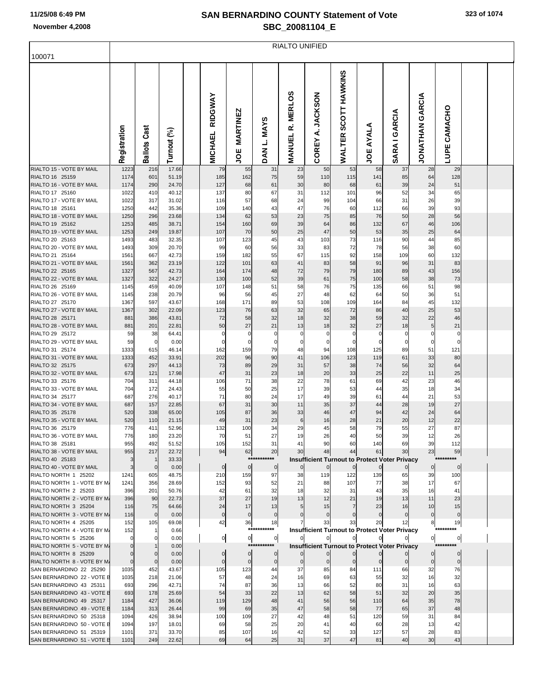## **SAN BERNARDINO COUNTY Statement of Vote November 4,2008 SBC\_20081104\_E**

|                                                       | <b>RIALTO UNIFIED</b>         |                             |                |  |                            |                               |                                |                                  |                               |                                   |                                                                     |                        |                           |                 |  |  |
|-------------------------------------------------------|-------------------------------|-----------------------------|----------------|--|----------------------------|-------------------------------|--------------------------------|----------------------------------|-------------------------------|-----------------------------------|---------------------------------------------------------------------|------------------------|---------------------------|-----------------|--|--|
| 100071                                                |                               |                             |                |  |                            |                               |                                |                                  |                               |                                   |                                                                     |                        |                           |                 |  |  |
|                                                       | Registration                  | <b>Ballots Cast</b>         | Turnout (%)    |  | RIDGWAY<br><b>MICHAEL</b>  | <b>MARTINEZ</b><br>ш<br>ğ     | <b>MAYS</b><br>ن<br><b>DAN</b> | n<br><b>MERLO</b><br>œ<br>MANUEL | <b>JACKSON</b><br>∢<br>COREY  | HAWKINS<br><b>SCOTT</b><br>WALTER | AYALA<br><b>JOE</b>                                                 | GARCIA<br><b>SARAI</b> | GARCIA<br><b>NATHATAN</b> | CAMACHO<br>LUPE |  |  |
| RIALTO 15 - VOTE BY MAIL                              | 1223                          | 216                         | 17.66          |  | 79                         | 55                            | 31                             | 23                               | 50                            | 53                                | 58                                                                  | 37                     | 28                        | 29              |  |  |
| RIALTO 16 25159<br>RIALTO 16 - VOTE BY MAIL           | 1174<br>1174                  | 601<br>290                  | 51.19<br>24.70 |  | 185<br>127                 | 162<br>68                     | 75<br>61                       | 59<br>30                         | 110<br>80                     | 115<br>68                         | 141<br>61                                                           | 85<br>39               | 64<br>24                  | 128<br>51       |  |  |
| RIALTO 17 25160                                       | 1022                          | 410                         | 40.12          |  | 137                        | 80                            | 67                             | 31                               | 112                           | 101                               | 96                                                                  | 52                     | 34                        | 65              |  |  |
| RIALTO 17 - VOTE BY MAIL                              | 1022                          | 317                         | 31.02          |  | 116                        | 57                            | 68                             | 24                               | 99                            | 104                               | 66                                                                  | 31                     | 26                        | 39              |  |  |
| RIALTO 18 25161                                       | 1250                          | 442                         | 35.36          |  | 109                        | 140                           | 43                             | 47                               | 76                            | 60                                | 112                                                                 | 66                     | 39                        | 93              |  |  |
| RIALTO 18 - VOTE BY MAIL<br>RIALTO 19 25162           | 1250<br>1253                  | 296<br>485                  | 23.68<br>38.71 |  | 134<br>154                 | 62<br>160                     | 53<br>69                       | 23<br>39                         | 75<br>64                      | 85<br>86                          | 76<br>132                                                           | 50<br>67               | 28<br>46                  | 56              |  |  |
| RIALTO 19 - VOTE BY MAIL                              | 1253                          | 249                         | 19.87          |  | 107                        | 70                            | 50                             | 25                               | 47                            | 50                                | 53                                                                  | 35                     | 25                        | 106<br>64       |  |  |
| RIALTO 20 25163                                       | 1493                          | 483                         | 32.35          |  | 107                        | 123                           | 45                             | 43                               | 103                           | 73                                | 116                                                                 | 90                     | 44                        | 85              |  |  |
| RIALTO 20 - VOTE BY MAIL                              | 1493                          | 309                         | 20.70          |  | 99                         | 60                            | 56                             | 33                               | 83                            | 72                                | 78                                                                  | 56                     | 38                        | 60              |  |  |
| RIALTO 21 25164                                       | 1561                          | 667                         | 42.73          |  | 159                        | 182                           | 55                             | 67                               | 115                           | 92                                | 158                                                                 | 109                    | 60                        | 132             |  |  |
| RIALTO 21 - VOTE BY MAIL<br>RIALTO 22 25165           | 1561                          | 362                         | 23.19          |  | 122                        | 101                           | 63                             | 41                               | 83                            | 58                                | 91                                                                  | 96                     | 31                        | 83              |  |  |
| RIALTO 22 - VOTE BY MAIL                              | 1327<br>1327                  | 567<br>322                  | 42.73<br>24.27 |  | 164<br>130                 | 174<br>100                    | 48<br>52                       | 72<br>39                         | 79<br>61                      | 79<br>75                          | 180<br>100                                                          | 89<br>58               | 43<br>38                  | 156<br>73       |  |  |
| RIALTO 26 25169                                       | 1145                          | 459                         | 40.09          |  | 107                        | 148                           | 51                             | 58                               | 76                            | 75                                | 135                                                                 | 66                     | 51                        | 98              |  |  |
| RIALTO 26 - VOTE BY MAIL                              | 1145                          | 238                         | 20.79          |  | 96                         | 56                            | 45                             | 27                               | 48                            | 62                                | 64                                                                  | 50                     | 36                        | 51              |  |  |
| RIALTO 27 25170                                       | 1367                          | 597                         | 43.67          |  | 168                        | 171                           | 89                             | 53                               | 108                           | 109                               | 164                                                                 | 84                     | 45                        | 132             |  |  |
| RIALTO 27 - VOTE BY MAIL                              | 1367                          | 302                         | 22.09          |  | 123                        | 76                            | 63                             | 32                               | 65                            | 72                                | 86                                                                  | 40                     | 25                        | 53              |  |  |
| RIALTO 28 25171<br>RIALTO 28 - VOTE BY MAIL           | 881<br>881                    | 386<br>201                  | 43.81<br>22.81 |  | 72<br>50                   | 58<br>27                      | 32<br>21                       | 18<br>13                         | 32<br>18                      | 38<br>32                          | 59<br>27                                                            | 32<br>18               | 22<br>5                   | 46<br>21        |  |  |
| RIALTO 29 25172                                       | 59                            | 38                          | 64.41          |  | $\mathbf 0$                | 0                             | 0                              | 0                                | $\overline{0}$                | $\mathbf 0$                       | 0                                                                   | 0                      | 0                         | 0               |  |  |
| RIALTO 29 - VOTE BY MAIL                              | 59                            | $\overline{0}$              | 0.00           |  | $\Omega$                   | $\mathbf 0$                   | 0                              | 0                                | $\mathbf 0$                   | 0                                 | 0                                                                   | $\mathbf 0$            | 0                         | 0               |  |  |
| RIALTO 31 25174                                       | 1333                          | 615                         | 46.14          |  | 162                        | 159                           | 79                             | 48                               | 94                            | 108                               | 125                                                                 | 89                     | 51                        | 121             |  |  |
| RIALTO 31 - VOTE BY MAIL                              | 1333                          | 452                         | 33.91          |  | 202                        | 96                            | 90                             | 41                               | 106                           | 123                               | 119                                                                 | 61                     | 33                        | 80              |  |  |
| RIALTO 32 25175<br>RIALTO 32 - VOTE BY MAIL           | 673<br>673                    | 297<br>121                  | 44.13<br>17.98 |  | 73<br>47                   | 89<br>31                      | 29<br>23                       | 31<br>18                         | 57<br>20                      | 38<br>33                          | 74<br>25                                                            | 56<br>22               | 32<br>11                  | 64<br>25        |  |  |
| RIALTO 33 25176                                       | 704                           | 311                         | 44.18          |  | 106                        | 71                            | 38                             | 22                               | 78                            | 61                                | 69                                                                  | 42                     | 23                        | 46              |  |  |
| RIALTO 33 - VOTE BY MAIL                              | 704                           | 172                         | 24.43          |  | 55                         | 50                            | 25                             | 17                               | 39                            | 53                                | 44                                                                  | 35                     | 18                        | 34              |  |  |
| RIALTO 34 25177                                       | 687                           | 276                         | 40.17          |  | 71                         | 80                            | 24                             | 17                               | 49                            | 39                                | 61                                                                  | 44                     | 21                        | 53              |  |  |
| RIALTO 34 - VOTE BY MAIL                              | 687                           | 157                         | 22.85          |  | 67                         | 31                            | 30                             | 11                               | 35                            | 37                                | 44                                                                  | 28                     | 19                        | 27              |  |  |
| RIALTO 35 25178<br>RIALTO 35 - VOTE BY MAIL           | 520<br>520                    | 338<br>110                  | 65.00<br>21.15 |  | 105<br>49                  | 87<br>31                      | 36<br>23                       | 33<br>6                          | 46<br>16                      | 47<br>28                          | 94<br>21                                                            | 42<br>20               | 24<br>12                  | 64<br>22        |  |  |
| RIALTO 36 25179                                       | 776                           | 411                         | 52.96          |  | 132                        | 100                           | 34                             | 29                               | 45                            | 58                                | 79                                                                  | 55                     | 27                        | 87              |  |  |
| RIALTO 36 - VOTE BY MAIL                              | 776                           | 180                         | 23.20          |  | 70                         | 51                            | 27                             | 19                               | 26                            | 40                                | 50                                                                  | 39                     | 12                        | 26              |  |  |
| RIALTO 38 25181                                       | 955                           | 492                         | 51.52          |  | 105                        | 152                           | 31                             | 41                               | 90                            | 60                                | 140                                                                 | 69                     | 39                        | 112             |  |  |
| RIALTO 38 - VOTE BY MAIL                              | 955                           | 217                         | 22.72          |  | 94                         | 62                            | 20<br>***********              | 30                               | 48                            | 44                                | 61                                                                  | 30                     | 23                        | 59<br>********* |  |  |
| RIALTO 40 25183<br>RIALTO 40 - VOTE BY MAIL           | 3<br>3                        | $\mathbf{1}$<br>$\mathbf 0$ | 33.33<br>0.00  |  | $\mathbf 0$                | $\overline{0}$                | $\mathbf 0$                    | $\overline{0}$                   | $\overline{0}$                | $\overline{0}$                    | <b>Insufficient Turnout to Protect Voter Privacy</b><br>$\mathbf 0$ |                        | $\overline{0}$            | $\mathbf{0}$    |  |  |
| RIALTO NORTH 1 25202                                  | 1241                          | 605                         | 48.75          |  | 210                        | 159                           | 97                             | 38                               | 119                           | 122                               | 139                                                                 | 65                     | 39                        | 100             |  |  |
| RIALTO NORTH 1 - VOTE BY M.                           | 1241                          | 356                         | 28.69          |  | 152                        | 93                            | 52                             | 21                               | 88                            | 107                               | 77                                                                  | 38                     | 17                        | 67              |  |  |
| RIALTO NORTH 2 25203                                  | 396                           | 201                         | 50.76          |  | 42                         | 61                            | 32                             | 18                               | 32                            | 31                                | 43                                                                  | 35                     | 16                        | 41              |  |  |
| RIALTO NORTH 2 - VOTE BY M.<br>RIALTO NORTH 3 25204   | 396<br>116                    | 90<br>75                    | 22.73<br>64.66 |  | 37<br>24                   | 27<br>17                      | 19<br>13                       | 13                               | 12<br>15                      | 21<br>$\overline{7}$              | 19<br>23                                                            | 13<br>16               | 11<br>10                  | 23<br>15        |  |  |
| RIALTO NORTH 3 - VOTE BY M.                           | 116                           | $\overline{0}$              | 0.00           |  | $\mathbf 0$                | $\mathbf 0$                   | $\mathbf 0$                    |                                  | $\overline{0}$                | $\mathbf 0$                       | $\mathbf 0$                                                         | $\mathbf 0$            | $\Omega$                  | $\mathbf{0}$    |  |  |
| RIALTO NORTH 4 25205                                  | 152                           | 105                         | 69.08          |  | 42                         | 36                            | 18                             |                                  | 33                            | 33                                | 20                                                                  | 12                     | 8                         | 19              |  |  |
| RIALTO NORTH 4 - VOTE BY M.                           | 152                           |                             | 0.66           |  |                            |                               | ***********                    |                                  |                               |                                   | <b>Insufficient Turnout to Protect Voter Privacy</b>                |                        |                           | *********       |  |  |
| RIALTO NORTH 5 25206                                  | $\mathbf{0}$                  | $\mathbf 0$                 | 0.00           |  | $\overline{0}$             | $\overline{0}$                | $\overline{0}$                 | $\mathbf{0}$                     | $\mathbf{0}$                  | $\mathbf{0}$                      |                                                                     |                        | $\overline{0}$            | 0               |  |  |
| RIALTO NORTH 5 - VOTE BY M.                           | $\mathbf 0$                   |                             | 0.00           |  |                            |                               | ***********                    |                                  |                               |                                   | <b>Insufficient Turnout to Protect Voter Privacy</b>                |                        |                           | *********       |  |  |
| RIALTO NORTH 8 25209<br>RIALTO NORTH 8 - VOTE BY M.   | $\mathbf 0$<br>$\overline{0}$ | $\mathbf{0}$<br>$\mathbf 0$ | 0.00<br>0.00   |  | $\mathbf 0$<br>$\mathbf 0$ | $\overline{0}$<br>$\mathbf 0$ | $\mathbf 0$<br>$\mathbf 0$     | $\mathbf{0}$<br>$\overline{0}$   | $\mathbf 0$<br>$\overline{0}$ | $\mathbf 0$                       | $\mathbf 0$                                                         | $\bf{0}$               | $\mathbf 0$               | $\overline{0}$  |  |  |
| SAN BERNARDINO 22 25290                               | 1035                          | 452                         | 43.67          |  | 105                        | 123                           | 44                             | 37                               | 85                            | 84                                | 111                                                                 | 66                     | 32                        | 76              |  |  |
| SAN BERNARDINO 22 - VOTE E                            | 1035                          | 218                         | 21.06          |  | 57                         | 48                            | 24                             | 16                               | 69                            | 63                                | 55                                                                  | 32                     | 16                        | 32              |  |  |
| SAN BERNARDINO 43 25311                               | 693                           | 296                         | 42.71          |  | 74                         | 87                            | 36                             | 13                               | 66                            | 52                                | 80                                                                  | 31                     | 16                        | 63              |  |  |
| SAN BERNARDINO 43 - VOTE E                            | 693                           | 178                         | 25.69          |  | 54                         | 33                            | 22                             | 13                               | 62                            | 58                                | 51                                                                  | 32                     | 20                        | 35              |  |  |
| SAN BERNARDINO 49 25317<br>SAN BERNARDINO 49 - VOTE E | 1184<br>1184                  | 427<br>313                  | 36.06<br>26.44 |  | 119<br>99                  | 129<br>69                     | 48<br>35                       | 41<br>47                         | 56<br>58                      | 56<br>58                          | 110<br>77                                                           | 64<br>65               | 35<br>37                  | 78<br>48        |  |  |
| SAN BERNARDINO 50 25318                               | 1094                          | 426                         | 38.94          |  | 100                        | 109                           | 27                             | 42                               | 48                            | 51                                | 120                                                                 | 59                     | 31                        | 84              |  |  |
| SAN BERNARDINO 50 - VOTE E                            | 1094                          | 197                         | 18.01          |  | 69                         | 58                            | 25                             | 20                               | 41                            | 40                                | 60                                                                  | 28                     | 13                        | 42              |  |  |
| SAN BERNARDINO 51 25319                               | 1101                          | 371                         | 33.70          |  | 85                         | 107                           | 16                             | 42                               | 52                            | 33                                | 127                                                                 | 57                     | 28                        | 83              |  |  |
| SAN BERNARDINO 51 - VOTE E                            | 1101                          | 249                         | 22.62          |  | 69                         | 64                            | 25                             | 31                               | 37                            | 47                                | 81                                                                  | 40                     | 30                        | 43              |  |  |